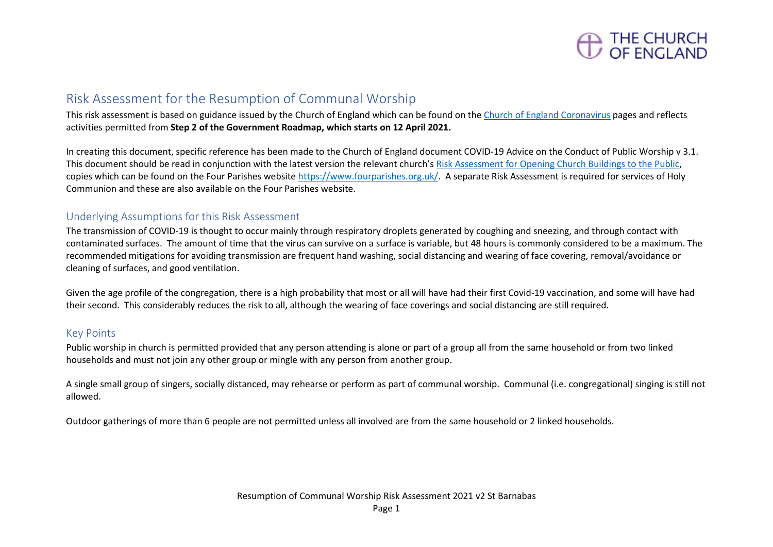

## Risk Assessment for the Resumption of Communal Worship

This risk assessment is based on guidance issued by the Church of England which can be found on the [Church of England Coronavirus](https://www.churchofengland.org/more/media-centre/coronavirus-covid-19-guidance-churches) pages and reflects activities permitted from **Step 2 of the Government Roadmap, which starts on 12 April 2021.**

In creating this document, specific reference has been made to the Church of England document COVID-19 Advice on the Conduct of Public Worship v 3.1. This document should be read in conjunction with the latest version the relevant church's [Risk Assessment for Opening Church Buildings to the Public,](https://www.fourparishes.org.uk/covid) copies which can be found on the Four Parishes websit[e https://www.fourparishes.org.uk/.](https://www.fourparishes.org.uk/) A separate Risk Assessment is required for services of Holy Communion and these are also available on the Four Parishes website.

## Underlying Assumptions for this Risk Assessment

The transmission of COVID-19 is thought to occur mainly through respiratory droplets generated by coughing and sneezing, and through contact with contaminated surfaces. The amount of time that the virus can survive on a surface is variable, but 48 hours is commonly considered to be a maximum. The recommended mitigations for avoiding transmission are frequent hand washing, social distancing and wearing of face covering, removal/avoidance or cleaning of surfaces, and good ventilation.

Given the age profile of the congregation, there is a high probability that most or all will have had their first Covid-19 vaccination, and some will have had their second. This considerably reduces the risk to all, although the wearing of face coverings and social distancing are still required.

## Key Points

Public worship in church is permitted provided that any person attending is alone or part of a group all from the same household or from two linked households and must not join any other group or mingle with any person from another group.

A single small group of singers, socially distanced, may rehearse or perform as part of communal worship. Communal (i.e. congregational) singing is still not allowed.

Outdoor gatherings of more than 6 people are not permitted unless all involved are from the same household or 2 linked households.

Page 1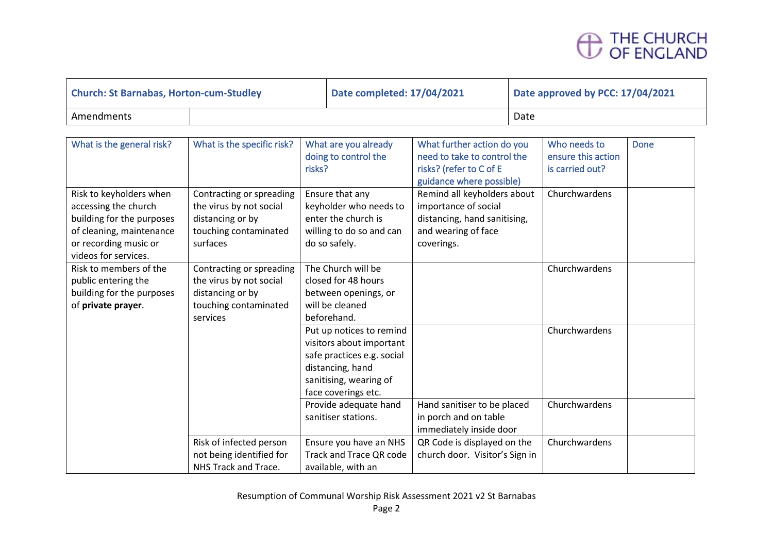

| <b>Church: St Barnabas, Horton-cum-Studley</b> |  | Date completed: 17/04/2021 | Date approved by PCC: 17/04/2021 |  |
|------------------------------------------------|--|----------------------------|----------------------------------|--|
| Amendments                                     |  |                            | Date                             |  |

| What is the general risk?                                                                                                                                 | What is the specific risk?                                                                                   | What are you already<br>doing to control the<br>risks?                                                                                                  | What further action do you<br>need to take to control the<br>risks? (refer to C of E<br>guidance where possible)         | Who needs to<br>ensure this action<br>is carried out? | <b>Done</b> |
|-----------------------------------------------------------------------------------------------------------------------------------------------------------|--------------------------------------------------------------------------------------------------------------|---------------------------------------------------------------------------------------------------------------------------------------------------------|--------------------------------------------------------------------------------------------------------------------------|-------------------------------------------------------|-------------|
| Risk to keyholders when<br>accessing the church<br>building for the purposes<br>of cleaning, maintenance<br>or recording music or<br>videos for services. | Contracting or spreading<br>the virus by not social<br>distancing or by<br>touching contaminated<br>surfaces | Ensure that any<br>keyholder who needs to<br>enter the church is<br>willing to do so and can<br>do so safely.                                           | Remind all keyholders about<br>importance of social<br>distancing, hand sanitising,<br>and wearing of face<br>coverings. | Churchwardens                                         |             |
| Risk to members of the<br>public entering the<br>building for the purposes<br>of private prayer.                                                          | Contracting or spreading<br>the virus by not social<br>distancing or by<br>touching contaminated<br>services | The Church will be<br>closed for 48 hours<br>between openings, or<br>will be cleaned<br>beforehand.                                                     |                                                                                                                          | Churchwardens                                         |             |
|                                                                                                                                                           |                                                                                                              | Put up notices to remind<br>visitors about important<br>safe practices e.g. social<br>distancing, hand<br>sanitising, wearing of<br>face coverings etc. |                                                                                                                          | Churchwardens                                         |             |
|                                                                                                                                                           |                                                                                                              | Provide adequate hand<br>sanitiser stations.                                                                                                            | Hand sanitiser to be placed<br>in porch and on table<br>immediately inside door                                          | Churchwardens                                         |             |
|                                                                                                                                                           | Risk of infected person<br>not being identified for<br>NHS Track and Trace.                                  | Ensure you have an NHS<br>Track and Trace QR code<br>available, with an                                                                                 | QR Code is displayed on the<br>church door. Visitor's Sign in                                                            | Churchwardens                                         |             |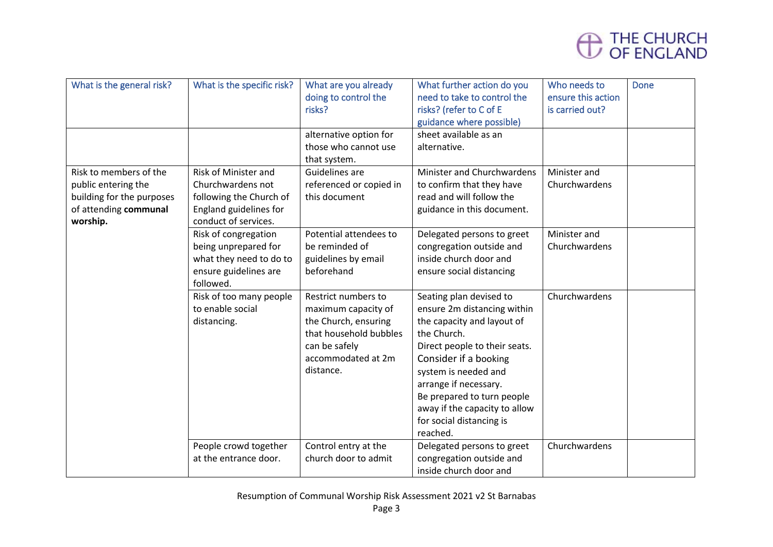

| What is the general risk?                                                                                       | What is the specific risk?                                                                                             | What are you already<br>doing to control the<br>risks?                                                                                           | What further action do you<br>need to take to control the<br>risks? (refer to C of E<br>guidance where possible)                                                                                                                                                                                                      | Who needs to<br>ensure this action<br>is carried out? | <b>Done</b> |
|-----------------------------------------------------------------------------------------------------------------|------------------------------------------------------------------------------------------------------------------------|--------------------------------------------------------------------------------------------------------------------------------------------------|-----------------------------------------------------------------------------------------------------------------------------------------------------------------------------------------------------------------------------------------------------------------------------------------------------------------------|-------------------------------------------------------|-------------|
|                                                                                                                 |                                                                                                                        | alternative option for<br>those who cannot use<br>that system.                                                                                   | sheet available as an<br>alternative.                                                                                                                                                                                                                                                                                 |                                                       |             |
| Risk to members of the<br>public entering the<br>building for the purposes<br>of attending communal<br>worship. | Risk of Minister and<br>Churchwardens not<br>following the Church of<br>England guidelines for<br>conduct of services. | Guidelines are<br>referenced or copied in<br>this document                                                                                       | Minister and Churchwardens<br>to confirm that they have<br>read and will follow the<br>guidance in this document.                                                                                                                                                                                                     | Minister and<br>Churchwardens                         |             |
|                                                                                                                 | Risk of congregation<br>being unprepared for<br>what they need to do to<br>ensure guidelines are<br>followed.          | Potential attendees to<br>be reminded of<br>guidelines by email<br>beforehand                                                                    | Delegated persons to greet<br>congregation outside and<br>inside church door and<br>ensure social distancing                                                                                                                                                                                                          | Minister and<br>Churchwardens                         |             |
|                                                                                                                 | Risk of too many people<br>to enable social<br>distancing.                                                             | Restrict numbers to<br>maximum capacity of<br>the Church, ensuring<br>that household bubbles<br>can be safely<br>accommodated at 2m<br>distance. | Seating plan devised to<br>ensure 2m distancing within<br>the capacity and layout of<br>the Church.<br>Direct people to their seats.<br>Consider if a booking<br>system is needed and<br>arrange if necessary.<br>Be prepared to turn people<br>away if the capacity to allow<br>for social distancing is<br>reached. | Churchwardens                                         |             |
|                                                                                                                 | People crowd together<br>at the entrance door.                                                                         | Control entry at the<br>church door to admit                                                                                                     | Delegated persons to greet<br>congregation outside and<br>inside church door and                                                                                                                                                                                                                                      | Churchwardens                                         |             |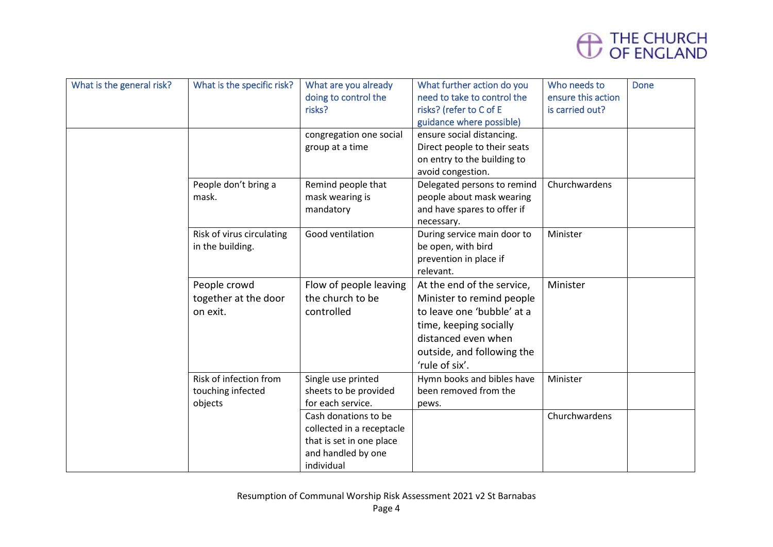

| What is the general risk? | What is the specific risk? | What are you already      | What further action do you   | Who needs to       | <b>Done</b> |
|---------------------------|----------------------------|---------------------------|------------------------------|--------------------|-------------|
|                           |                            | doing to control the      | need to take to control the  | ensure this action |             |
|                           |                            | risks?                    | risks? (refer to C of E      | is carried out?    |             |
|                           |                            |                           | guidance where possible)     |                    |             |
|                           |                            | congregation one social   | ensure social distancing.    |                    |             |
|                           |                            | group at a time           | Direct people to their seats |                    |             |
|                           |                            |                           | on entry to the building to  |                    |             |
|                           |                            |                           | avoid congestion.            |                    |             |
|                           | People don't bring a       | Remind people that        | Delegated persons to remind  | Churchwardens      |             |
|                           | mask.                      | mask wearing is           | people about mask wearing    |                    |             |
|                           |                            | mandatory                 | and have spares to offer if  |                    |             |
|                           |                            |                           | necessary.                   |                    |             |
|                           | Risk of virus circulating  | Good ventilation          | During service main door to  | Minister           |             |
|                           | in the building.           |                           | be open, with bird           |                    |             |
|                           |                            |                           | prevention in place if       |                    |             |
|                           |                            |                           | relevant.                    |                    |             |
|                           | People crowd               | Flow of people leaving    | At the end of the service,   | Minister           |             |
|                           | together at the door       | the church to be          | Minister to remind people    |                    |             |
|                           | on exit.                   | controlled                | to leave one 'bubble' at a   |                    |             |
|                           |                            |                           | time, keeping socially       |                    |             |
|                           |                            |                           | distanced even when          |                    |             |
|                           |                            |                           | outside, and following the   |                    |             |
|                           |                            |                           | 'rule of six'.               |                    |             |
|                           | Risk of infection from     | Single use printed        | Hymn books and bibles have   | Minister           |             |
|                           |                            | sheets to be provided     | been removed from the        |                    |             |
|                           | touching infected          | for each service.         |                              |                    |             |
|                           | objects                    |                           | pews.                        |                    |             |
|                           |                            | Cash donations to be      |                              | Churchwardens      |             |
|                           |                            | collected in a receptacle |                              |                    |             |
|                           |                            | that is set in one place  |                              |                    |             |
|                           |                            | and handled by one        |                              |                    |             |
|                           |                            | individual                |                              |                    |             |